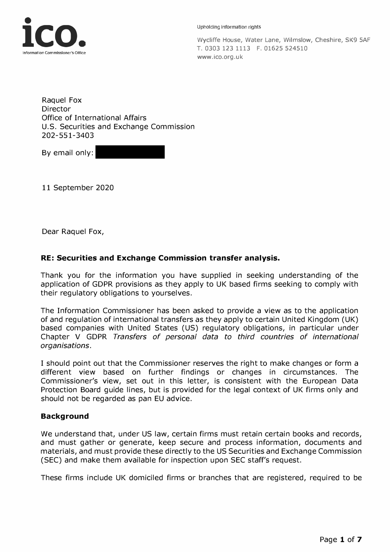

Upholding Information rights

Wycliffe House, Water Lane, Wilmslow, Cheshire, SK9 5AF T. 0303 123 1113 F. 01625 524510 <www.ico.org.uk>

Raquel Fox Director Office of International Affairs U.S. Securities and Exchange Commission 202-551-3403

By email only:

11 September 2020

Dear Raquel Fox,

# **RE: Securities and Exchange Commission transfer analysis.**

Thank you for the information you have supplied in seeking understanding of the application of GDPR provisions as they apply to UK based firms seeking to comply with their regulatory obligations to yourselves.

The Information Commissioner has been asked to provide a view as to the application of and regulation of international transfers as they apply to certain United Kingdom (UK) based companies with United States (US) regulatory obligations, in particular under Chapter V GDPR *Transfers of personal data to third countries of international organisations.* 

I should point out that the Commissioner reserves the right to make changes or form a different view based on further findings or changes in circumstances. The Commissioner's view, set out in this letter, is consistent with the European Data Protection Board guide lines, but is provided for the legal context of UK firms only and should not be regarded as pan EU advice.

# **Background**

We understand that, under US law, certain firms must retain certain books and records, and must gather or generate, keep secure and process information, documents and materials, and must provide these directly to the US Securities and Exchange Commission (SEC) and make them available for inspection upon SEC staff's request.

These firms include UK domiciled firms or branches that are registered, required to be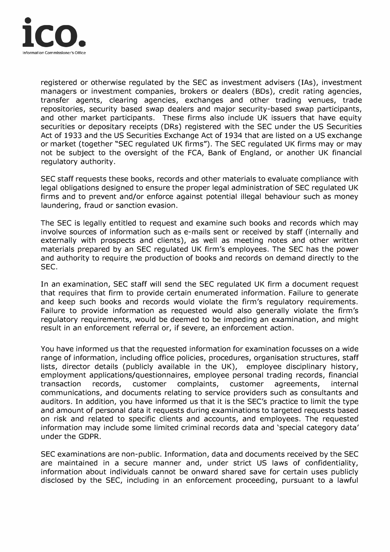

registered or otherwise regulated by the SEC as investment advisers (!As), investment managers or investment companies, brokers or dealers (BDs), credit rating agencies, transfer agents, clearing agencies, exchanges and other trading venues, trade repositories, security based swap dealers and major security-based swap participants, and other market participants. These firms also include UK issuers that have equity securities or depositary receipts (DRs) registered with the SEC under the US Securities Act of 1933 and the US Securities Exchange Act of 1934 that are listed on a US exchange or market (together "SEC regulated UK firms"). The SEC regulated UK firms may or may not be subject to the oversight of the FCA, Bank of England, or another UK financial regulatory authority.

SEC staff requests these books, records and other materials to evaluate compliance with legal obligations designed to ensure the proper legal administration of SEC regulated UK firms and to prevent and/or enforce against potential illegal behaviour such as money laundering, fraud or sanction evasion.

The SEC is legally entitled to request and examine such books and records which may involve sources of information such as e-mails sent or received by staff (internally and externally with prospects and clients), as well as meeting notes and other written materials prepared by an SEC regulated UK firm's employees. The SEC has the power and authority to require the production of books and records on demand directly to the SEC.

In an examination, SEC staff will send the SEC regulated UK firm a document request that requires that firm to provide certain enumerated information. Failure to generate and keep such books and records would violate the firm's regulatory requirements. Failure to provide information as requested would also generally violate the firm's regulatory requirements, would be deemed to be impeding an examination, and might result in an enforcement referral or, if severe, an enforcement action.

You have informed us that the requested information for examination focusses on a wide range of information, including office policies, procedures, organisation structures, staff lists, director details (publicly available in the UK), employee disciplinary history, employment applications/questionnaires, employee personal trading records, financial transaction records, customer complaints, customer agreements, internal communications, and documents relating to service providers such as consultants and auditors. In addition, you have informed us that it is the SEC's practice to limit the type and amount of personal data it requests during examinations to targeted requests based on risk and related to specific clients and accounts, and employees. The requested information may include some limited criminal records data and 'special category data' under the GDPR.

SEC examinations are non-public. Information, data and documents received by the SEC are maintained in a secure manner and, under strict US laws of confidentiality, information about individuals cannot be onward shared save for certain uses publicly disclosed by the SEC, including in an enforcement proceeding, pursuant to a lawful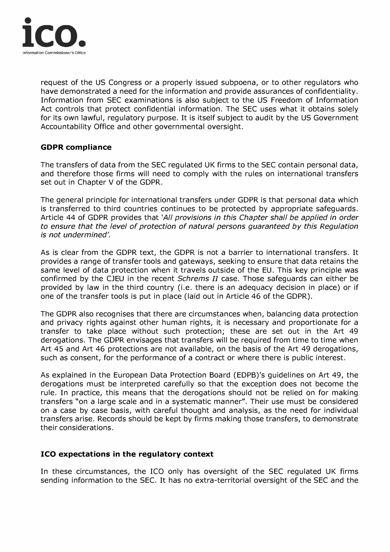

request of the US Congress or a properly issued subpoena, or to other regulators who have demonstrated a need for the information and provide assurances of confidentiality. Information from SEC examinations is also subject to the US Freedom of Information Act controls that protect confidential information. The SEC uses what it obtains solely for its own lawful, regulatory purpose. It is itself subject to audit by the US Government Accountability Office and other governmental oversight.

# **GDPR compliance**

The transfers of data from the SEC regulated UK firms to the SEC contain personal data, and therefore those firms will need to comply with the rules on international transfers set out in Chapter V of the GDPR.

The general principle for international transfers under GDPR is that personal data which is transferred to third countries continues to be protected by appropriate safeguards. Article 44 of GDPR provides that *'All provisions in this Chapter shall be applied in order to ensure that the level of protection of natural persons guaranteed by this Regulation is not undermined'.* 

As is clear from the GDPR text, the GDPR is not a barrier to international transfers. It provides a range of transfer tools and gateways, seeking to ensure that data retains the same level of data protection when it travels outside of the EU. This key principle was confirmed by the CJEU in the recent *Schrems II* case. Those safeguards can either be provided by law in the third country (i.e. there is an adequacy decision in place) or if one of the transfer tools is put in place (laid out in Article 46 of the GDPR).

The GDPR also recognises that there are circumstances when, balancing data protection and privacy rights against other human rights, it is necessary and proportionate for a transfer to take place without such protection; these are set out in the Art 49 derogations. The GDPR envisages that transfers will be required from time to time when Art 45 and Art 46 protections are not available, on the basis of the Art 49 derogations, such as consent, for the performance of a contract or where there is public interest.

As explained in the European Data Protection Board (EDPB)'s guidelines on Art 49, the derogations must be interpreted carefully so that the exception does not become the rule. In practice, this means that the derogations should not be relied on for making transfers "on a large scale and in a systematic manner". Their use must be considered on a case by case basis, with careful thought and analysis, as the need for individual transfers arise. Records should be kept by firms making those transfers, to demonstrate their considerations.

# **ICO expectations in the regulatory context**

In these circumstances, the ICO only has oversight of the SEC regulated UK firms sending information to the SEC. It has no extra-territorial oversight of the SEC and the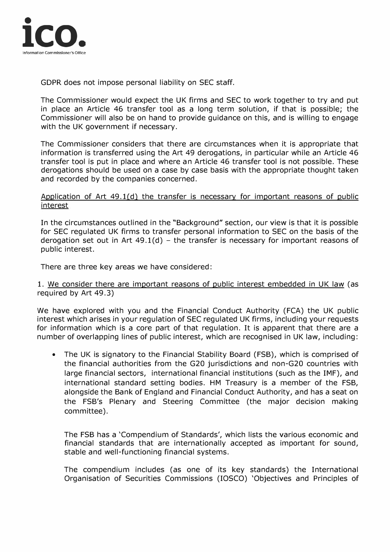

GDPR does not impose personal liability on SEC staff.

The Commissioner would expect the UK firms and SEC to work together to try and put in place an Article 46 transfer tool as a long term solution, if that is possible; the Commissioner will also be on hand to provide guidance on this, and is willing to engage with the UK government if necessary.

The Commissioner considers that there are circumstances when it is appropriate that information is transferred using the Art 49 derogations, in particular while an Article 46 transfer tool is put in place and where an Article 46 transfer tool is not possible. These derogations should be used on a case by case basis with the appropriate thought taken and recorded by the companies concerned.

# Application of Art  $49.1(d)$  the transfer is necessary for important reasons of public interest

In the circumstances outlined in the "Background" section, our view is that it is possible for SEC regulated UK firms to transfer personal information to SEC on the basis of the derogation set out in Art  $49.1(d)$  – the transfer is necessary for important reasons of public interest.

There are three key areas we have considered:

# 1. We consider there are important reasons of public interest embedded in UK law (as required by Art 49.3)

We have explored with you and the Financial Conduct Authority (FCA) the UK public interest which arises in your regulation of SEC regulated UK firms, including your requests for information which is a core part of that regulation. It is apparent that there are a number of overlapping lines of public interest, which are recognised in UK law, including:

• The UK is signatory to the Financial Stability Board (FSB), which is comprised of the financial authorities from the G20 jurisdictions and non-G20 countries with large financial sectors, international financial institutions (such as the IMF), and international standard setting bodies. HM Treasury is a member of the FSB, alongside the Bank of England and Financial Conduct Authority, and has a seat on the FSB's Plenary and Steering Committee (the major decision making committee).

The FSB has a 'Compendium of Standards', which lists the various economic and financial standards that are internationally accepted as important for sound, stable and well-functioning financial systems.

The compendium includes (as one of its key standards) the International Organisation of Securities Commissions (IOSCO) 'Objectives and Principles of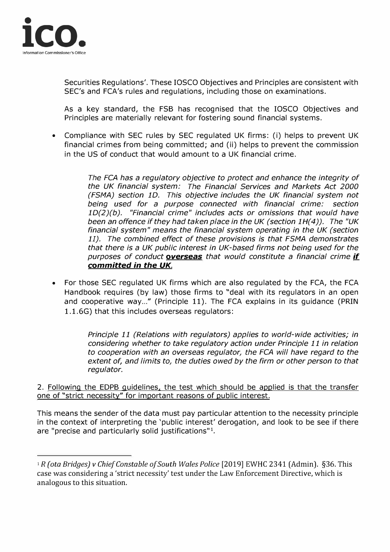

Securities Regulations'. These IOSCO Objectives and Principles are consistent with SEC's and FCA's rules and regulations, including those on examinations.

As a key standard, the FSB has recognised that the IOSCO Objectives and Principles are materially relevant for fostering sound financial systems.

• Compliance with SEC rules by SEC regulated UK firms: (i) helps to prevent UK financial crimes from being committed; and (ii) helps to prevent the commission in the US of conduct that would amount to a UK financial crime.

> *The FCA has a regulatory objective to protect and enhance the integrity of the UK financial system: The Financial Services and Markets Act 2000 (FSMA) section 10. This objective includes the UK financial system not being used for a purpose connected with financial crime: section 1D(2)(b). "Financial crime" includes acts or omissions that would have been an offence if they had taken place in the UK (section 1H(4)). The "UK financial system" means the financial system operating in the UK (section 11). The combined effect of these provisions is that FSMA demonstrates that there is a UK public interest in UK-based firms not being used for the purposes of conduct overseas that would constitute a financial crime if committed in the UK.*

• For those SEC regulated UK firms which are also regulated by the FCA, the FCA Handbook requires (by law) those firms to "deal with its regulators in an open and cooperative way..." (Principle 11). The FCA explains in its guidance (PRIN 1.1.6G) that this includes overseas regulators:

> *Principle 11 (Relations with regulators) applies to world-wide activities; in considering whether to take regulatory action under Principle 11 in relation to cooperation with an overseas regulator, the FCA will have regard to the extent of, and limits to, the duties owed by the firm or other person to that regulator.*

2. Following the EDPB guidelines, the test which should be applied is that the transfer one of "strict necessity" for important reasons of public interest.

This means the sender of the data must pay particular attention to the necessity principle in the context of interpreting the 'public interest' derogation, and look to be see if there are "precise and particularly solid justifications"<sup>1</sup>.

<sup>1</sup>*R (ota Bridges) v Chief Constable of South Wales Police* [2019] EWHC 2341 (Admin). §36. This case was considering a 'strict necessity' test under the Law Enforcement Directive, which is analogous to this situation.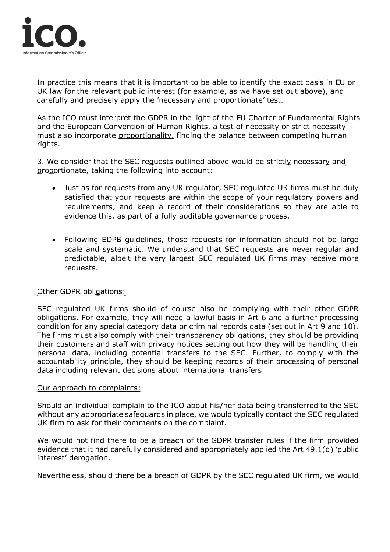

In practice this means that it is important to be able to identify the exact basis in EU or UK law for the relevant public interest (for example, as we have set out above), and carefully and precisely apply the 'necessary and proportionate' test.

As the ICO must interpret the GDPR in the light of the EU Charter of Fundamental Rights and the European Convention of Human Rights, a test of necessity or strict necessity must also incorporate proportionality, finding the balance between competing human rights.

3. We consider that the SEC requests outlined above would be strictly necessary and proportionate, taking the following into account:

- Just as for requests from any UK regulator, SEC regulated UK firms must be duly satisfied that your requests are within the scope of your regulatory powers and requirements, and keep a record of their considerations so they are able to evidence this, as part of a fully auditable governance process.
- Following EDPB guidelines, those requests for information should not be large scale and systematic. We understand that SEC requests are never regular and predictable, albeit the very largest SEC regulated UK firms may receive more requests.

# Other GDPR obligations:

SEC regulated UK firms should of course also be complying with their other GDPR obligations. For example, they will need a lawful basis in Art 6 and a further processing condition for any special category data or criminal records data (set out in Art 9 and 10). The firms must also comply with their transparency obligations, they should be providing their customers and staff with privacy notices setting out how they will be handling their personal data, including potential transfers to the SEC. Further, to comply with the accountability principle, they should be keeping records of their processing of personal data including relevant decisions about international transfers.

# Our approach to complaints:

Should an individual complain to the ICO about his/her data being transferred to the SEC without any appropriate safeguards in place, we would typically contact the SEC regulated UK firm to ask for their comments on the complaint.

We would not find there to be a breach of the GDPR transfer rules if the firm provided evidence that it had carefully considered and appropriately applied the Art 49.1(d) 'public interest' derogation.

Nevertheless, should there be a breach of GDPR by the SEC regulated UK firm, we would